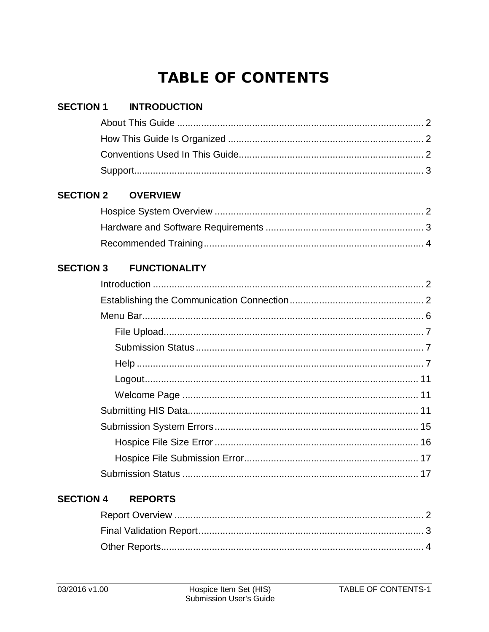# **TABLE OF CONTENTS**

| <b>SECTION 1</b> | <b>INTRODUCTION</b>  |  |
|------------------|----------------------|--|
|                  |                      |  |
|                  |                      |  |
|                  |                      |  |
|                  |                      |  |
| <b>SECTION 2</b> | <b>OVERVIEW</b>      |  |
|                  |                      |  |
|                  |                      |  |
|                  |                      |  |
| <b>SECTION 3</b> | <b>FUNCTIONALITY</b> |  |
|                  |                      |  |
|                  |                      |  |
|                  |                      |  |
|                  |                      |  |
|                  |                      |  |
|                  |                      |  |
|                  |                      |  |
|                  |                      |  |
|                  |                      |  |
|                  |                      |  |
|                  |                      |  |
|                  |                      |  |
|                  |                      |  |

#### **SECTION 4 REPORTS**